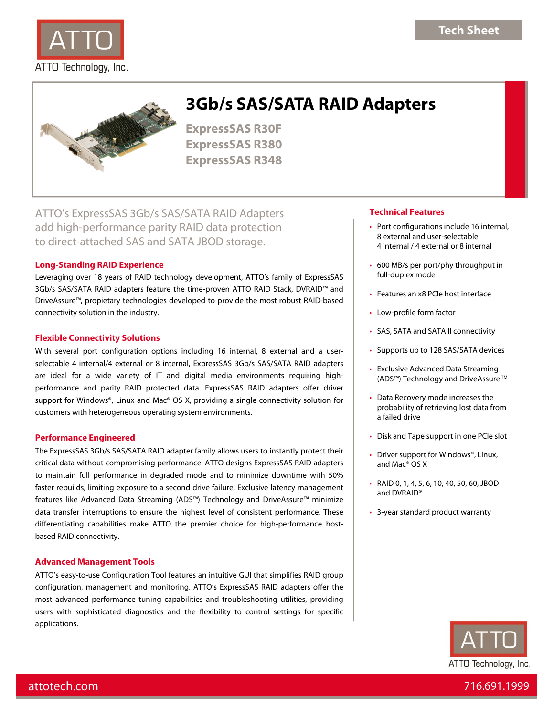



# **3Gb/s SAS/SATA RAID Adapters**

**ExpressSAS R30F ExpressSAS R380 ExpressSAS R348** 

ATTO's ExpressSAS 3Gb/s SAS/SATA RAID Adapters add high-performance parity RAID data protection to direct-attached SAS and SATA JBOD storage.

# **Long-Standing RAID Experience**

Leveraging over 18 years of RAID technology development, ATTO's family of ExpressSAS 3Gb/s SAS/SATA RAID adapters feature the time-proven ATTO RAID Stack, DVRAID™ and DriveAssure™, propietary technologies developed to provide the most robust RAID-based connectivity solution in the industry.

# **Flexible Connectivity Solutions**

With several port configuration options including 16 internal, 8 external and a userselectable 4 internal/4 external or 8 internal, ExpressSAS 3Gb/s SAS/SATA RAID adapters are ideal for a wide variety of IT and digital media environments requiring highperformance and parity RAID protected data. ExpressSAS RAID adapters offer driver support for Windows®, Linux and Mac® OS X, providing a single connectivity solution for customers with heterogeneous operating system environments.

# **Performance Engineered**

The ExpressSAS 3Gb/s SAS/SATA RAID adapter family allows users to instantly protect their critical data without compromising performance. ATTO designs ExpressSAS RAID adapters to maintain full performance in degraded mode and to minimize downtime with 50% faster rebuilds, limiting exposure to a second drive failure. Exclusive latency management features like Advanced Data Streaming (ADS™) Technology and DriveAssure™ minimize data transfer interruptions to ensure the highest level of consistent performance. These differentiating capabilities make ATTO the premier choice for high-performance hostbased RAID connectivity.

# **Advanced Management Tools**

ATTO's easy-to-use Configuration Tool features an intuitive GUI that simplifies RAID group configuration, management and monitoring. ATTO's ExpressSAS RAID adapters offer the most advanced performance tuning capabilities and troubleshooting utilities, providing users with sophisticated diagnostics and the flexibility to control settings for specific applications.

# **Technical Features**

- Port configurations include 16 internal, 8 external and user-selectable 4 internal / 4 external or 8 internal
- 600 MB/s per port/phy throughput in full-duplex mode
- Features an x8 PCIe host interface
- Low-profile form factor
- SAS, SATA and SATA II connectivity
- Supports up to 128 SAS/SATA devices
- Exclusive Advanced Data Streaming (ADS™) Technology and DriveAssure™
- Data Recovery mode increases the probability of retrieving lost data from a failed drive
- Disk and Tape support in one PCIe slot
- Driver support for Windows®, Linux, and Mac® OS X
- RAID 0, 1, 4, 5, 6, 10, 40, 50, 60, JBOD and DVRAID®
- 3-year standard product warranty